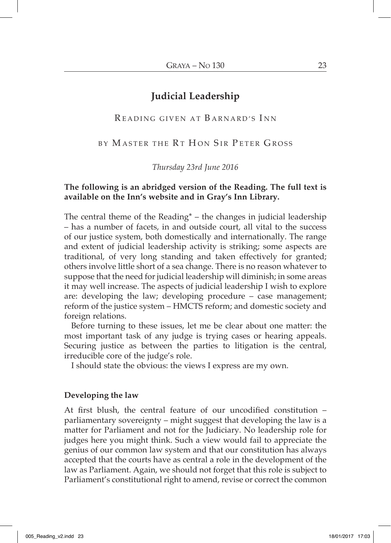# **Judicial Leadership**

# READING GIVEN AT BARNARD'S INN

BY MASTER THE RT HON SIR PETER GROSS

## *Thursday 23rd June 2016*

# **The following is an abridged version of the Reading. The full text is available on the Inn's website and in Gray's Inn Library.**

The central theme of the Reading<sup>\*</sup> – the changes in judicial leadership – has a number of facets, in and outside court, all vital to the success of our justice system, both domestically and internationally. The range and extent of judicial leadership activity is striking; some aspects are traditional, of very long standing and taken effectively for granted; others involve little short of a sea change. There is no reason whatever to suppose that the need for judicial leadership will diminish; in some areas it may well increase. The aspects of judicial leadership I wish to explore are: developing the law; developing procedure – case management; reform of the justice system – HMCTS reform; and domestic society and foreign relations.

Before turning to these issues, let me be clear about one matter: the most important task of any judge is trying cases or hearing appeals. Securing justice as between the parties to litigation is the central, irreducible core of the judge's role.

I should state the obvious: the views I express are my own.

#### **Developing the law**

At first blush, the central feature of our uncodified constitution – parliamentary sovereignty – might suggest that developing the law is a matter for Parliament and not for the Judiciary. No leadership role for judges here you might think. Such a view would fail to appreciate the genius of our common law system and that our constitution has always accepted that the courts have as central a role in the development of the law as Parliament. Again, we should not forget that this role is subject to Parliament's constitutional right to amend, revise or correct the common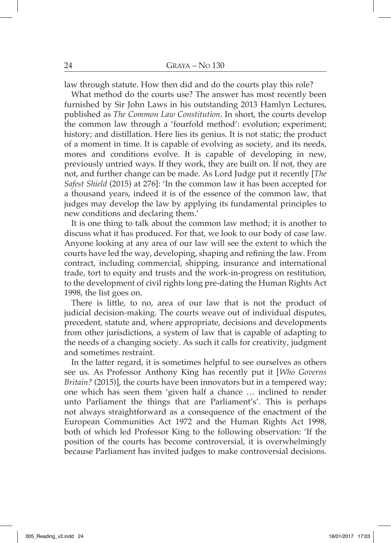law through statute. How then did and do the courts play this role?

What method do the courts use? The answer has most recently been furnished by Sir John Laws in his outstanding 2013 Hamlyn Lectures, published as *The Common Law Constitution*. In short, the courts develop the common law through a 'fourfold method': evolution; experiment; history; and distillation. Here lies its genius. It is not static; the product of a moment in time. It is capable of evolving as society, and its needs, mores and conditions evolve. It is capable of developing in new, previously untried ways. If they work, they are built on. If not, they are not, and further change can be made. As Lord Judge put it recently [*The Safest Shield* (2015) at 276]: 'In the common law it has been accepted for a thousand years, indeed it is of the essence of the common law, that judges may develop the law by applying its fundamental principles to new conditions and declaring them.'

It is one thing to talk about the common law method; it is another to discuss what it has produced. For that, we look to our body of case law. Anyone looking at any area of our law will see the extent to which the courts have led the way, developing, shaping and refining the law. From contract, including commercial, shipping, insurance and international trade, tort to equity and trusts and the work-in-progress on restitution, to the development of civil rights long pre-dating the Human Rights Act 1998, the list goes on.

There is little, to no, area of our law that is not the product of judicial decision-making. The courts weave out of individual disputes, precedent, statute and, where appropriate, decisions and developments from other jurisdictions, a system of law that is capable of adapting to the needs of a changing society. As such it calls for creativity, judgment and sometimes restraint.

In the latter regard, it is sometimes helpful to see ourselves as others see us. As Professor Anthony King has recently put it [*Who Governs Britain?* (2015)], the courts have been innovators but in a tempered way; one which has seen them 'given half a chance … inclined to render unto Parliament the things that are Parliament's'. This is perhaps not always straightforward as a consequence of the enactment of the European Communities Act 1972 and the Human Rights Act 1998, both of which led Professor King to the following observation: 'If the position of the courts has become controversial, it is overwhelmingly because Parliament has invited judges to make controversial decisions.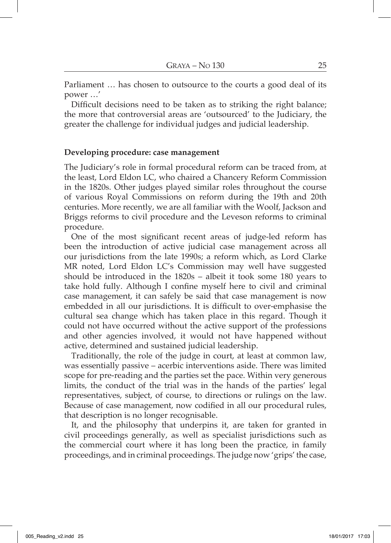Parliament … has chosen to outsource to the courts a good deal of its power …'

Difficult decisions need to be taken as to striking the right balance; the more that controversial areas are 'outsourced' to the Judiciary, the greater the challenge for individual judges and judicial leadership.

## **Developing procedure: case management**

The Judiciary's role in formal procedural reform can be traced from, at the least, Lord Eldon LC, who chaired a Chancery Reform Commission in the 1820s. Other judges played similar roles throughout the course of various Royal Commissions on reform during the 19th and 20th centuries. More recently, we are all familiar with the Woolf, Jackson and Briggs reforms to civil procedure and the Leveson reforms to criminal procedure.

One of the most significant recent areas of judge-led reform has been the introduction of active judicial case management across all our jurisdictions from the late 1990s; a reform which, as Lord Clarke MR noted, Lord Eldon LC's Commission may well have suggested should be introduced in the 1820s – albeit it took some 180 years to take hold fully. Although I confine myself here to civil and criminal case management, it can safely be said that case management is now embedded in all our jurisdictions. It is difficult to over-emphasise the cultural sea change which has taken place in this regard. Though it could not have occurred without the active support of the professions and other agencies involved, it would not have happened without active, determined and sustained judicial leadership.

Traditionally, the role of the judge in court, at least at common law, was essentially passive – acerbic interventions aside. There was limited scope for pre-reading and the parties set the pace. Within very generous limits, the conduct of the trial was in the hands of the parties' legal representatives, subject, of course, to directions or rulings on the law. Because of case management, now codified in all our procedural rules, that description is no longer recognisable.

It, and the philosophy that underpins it, are taken for granted in civil proceedings generally, as well as specialist jurisdictions such as the commercial court where it has long been the practice, in family proceedings, and in criminal proceedings. The judge now 'grips' the case,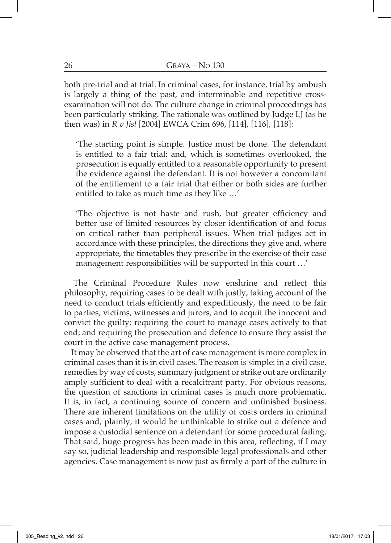both pre-trial and at trial. In criminal cases, for instance, trial by ambush is largely a thing of the past, and interminable and repetitive crossexamination will not do. The culture change in criminal proceedings has been particularly striking. The rationale was outlined by Judge LJ (as he then was) in *R v Jisl* [2004] EWCA Crim 696, [114], [116], [118]:

'The starting point is simple. Justice must be done. The defendant is entitled to a fair trial: and, which is sometimes overlooked, the prosecution is equally entitled to a reasonable opportunity to present the evidence against the defendant. It is not however a concomitant of the entitlement to a fair trial that either or both sides are further entitled to take as much time as they like …'

'The objective is not haste and rush, but greater efficiency and better use of limited resources by closer identification of and focus on critical rather than peripheral issues. When trial judges act in accordance with these principles, the directions they give and, where appropriate, the timetables they prescribe in the exercise of their case management responsibilities will be supported in this court …'

The Criminal Procedure Rules now enshrine and reflect this philosophy, requiring cases to be dealt with justly, taking account of the need to conduct trials efficiently and expeditiously, the need to be fair to parties, victims, witnesses and jurors, and to acquit the innocent and convict the guilty; requiring the court to manage cases actively to that end; and requiring the prosecution and defence to ensure they assist the court in the active case management process.

It may be observed that the art of case management is more complex in criminal cases than it is in civil cases. The reason is simple: in a civil case, remedies by way of costs, summary judgment or strike out are ordinarily amply sufficient to deal with a recalcitrant party. For obvious reasons, the question of sanctions in criminal cases is much more problematic. It is, in fact, a continuing source of concern and unfinished business. There are inherent limitations on the utility of costs orders in criminal cases and, plainly, it would be unthinkable to strike out a defence and impose a custodial sentence on a defendant for some procedural failing. That said, huge progress has been made in this area, reflecting, if I may say so, judicial leadership and responsible legal professionals and other agencies. Case management is now just as firmly a part of the culture in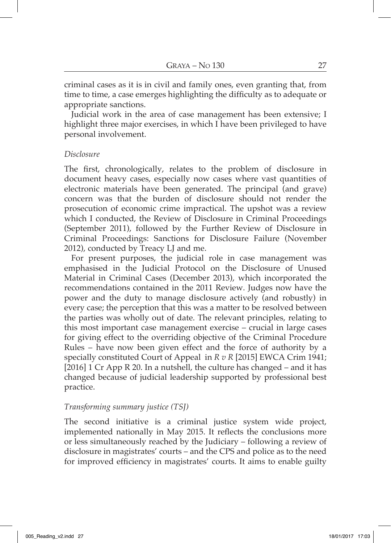criminal cases as it is in civil and family ones, even granting that, from time to time, a case emerges highlighting the difficulty as to adequate or appropriate sanctions.

Judicial work in the area of case management has been extensive; I highlight three major exercises, in which I have been privileged to have personal involvement.

## *Disclosure*

The first, chronologically, relates to the problem of disclosure in document heavy cases, especially now cases where vast quantities of electronic materials have been generated. The principal (and grave) concern was that the burden of disclosure should not render the prosecution of economic crime impractical. The upshot was a review which I conducted, the Review of Disclosure in Criminal Proceedings (September 2011), followed by the Further Review of Disclosure in Criminal Proceedings: Sanctions for Disclosure Failure (November 2012), conducted by Treacy LJ and me.

For present purposes, the judicial role in case management was emphasised in the Judicial Protocol on the Disclosure of Unused Material in Criminal Cases (December 2013), which incorporated the recommendations contained in the 2011 Review. Judges now have the power and the duty to manage disclosure actively (and robustly) in every case; the perception that this was a matter to be resolved between the parties was wholly out of date. The relevant principles, relating to this most important case management exercise – crucial in large cases for giving effect to the overriding objective of the Criminal Procedure Rules – have now been given effect and the force of authority by a specially constituted Court of Appeal in *R v R* [2015] EWCA Crim 1941; [2016] 1 Cr App R 20. In a nutshell, the culture has changed – and it has changed because of judicial leadership supported by professional best practice.

# *Transforming summary justice (TSJ)*

The second initiative is a criminal justice system wide project, implemented nationally in May 2015. It reflects the conclusions more or less simultaneously reached by the Judiciary – following a review of disclosure in magistrates' courts – and the CPS and police as to the need for improved efficiency in magistrates' courts. It aims to enable guilty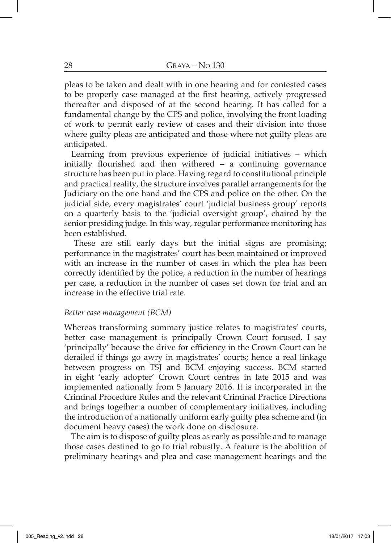pleas to be taken and dealt with in one hearing and for contested cases to be properly case managed at the first hearing, actively progressed thereafter and disposed of at the second hearing. It has called for a fundamental change by the CPS and police, involving the front loading of work to permit early review of cases and their division into those where guilty pleas are anticipated and those where not guilty pleas are anticipated.

Learning from previous experience of judicial initiatives – which initially flourished and then withered – a continuing governance structure has been put in place. Having regard to constitutional principle and practical reality, the structure involves parallel arrangements for the Judiciary on the one hand and the CPS and police on the other. On the judicial side, every magistrates' court 'judicial business group' reports on a quarterly basis to the 'judicial oversight group', chaired by the senior presiding judge. In this way, regular performance monitoring has been established.

These are still early days but the initial signs are promising; performance in the magistrates' court has been maintained or improved with an increase in the number of cases in which the plea has been correctly identified by the police, a reduction in the number of hearings per case, a reduction in the number of cases set down for trial and an increase in the effective trial rate.

#### *Better case management (BCM)*

Whereas transforming summary justice relates to magistrates' courts, better case management is principally Crown Court focused. I say 'principally' because the drive for efficiency in the Crown Court can be derailed if things go awry in magistrates' courts; hence a real linkage between progress on TSJ and BCM enjoying success. BCM started in eight 'early adopter' Crown Court centres in late 2015 and was implemented nationally from 5 January 2016. It is incorporated in the Criminal Procedure Rules and the relevant Criminal Practice Directions and brings together a number of complementary initiatives, including the introduction of a nationally uniform early guilty plea scheme and (in document heavy cases) the work done on disclosure.

The aim is to dispose of guilty pleas as early as possible and to manage those cases destined to go to trial robustly. A feature is the abolition of preliminary hearings and plea and case management hearings and the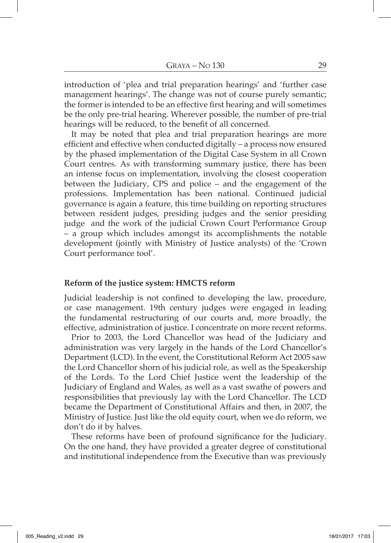introduction of 'plea and trial preparation hearings' and 'further case management hearings'. The change was not of course purely semantic; the former is intended to be an effective first hearing and will sometimes be the only pre-trial hearing. Wherever possible, the number of pre-trial hearings will be reduced, to the benefit of all concerned.

It may be noted that plea and trial preparation hearings are more efficient and effective when conducted digitally – a process now ensured by the phased implementation of the Digital Case System in all Crown Court centres. As with transforming summary justice, there has been an intense focus on implementation, involving the closest cooperation between the Judiciary, CPS and police – and the engagement of the professions. Implementation has been national. Continued judicial governance is again a feature, this time building on reporting structures between resident judges, presiding judges and the senior presiding judge and the work of the judicial Crown Court Performance Group – a group which includes amongst its accomplishments the notable development (jointly with Ministry of Justice analysts) of the 'Crown Court performance tool'.

#### **Reform of the justice system: HMCTS reform**

Judicial leadership is not confined to developing the law, procedure, or case management. 19th century judges were engaged in leading the fundamental restructuring of our courts and, more broadly, the effective, administration of justice. I concentrate on more recent reforms.

Prior to 2003, the Lord Chancellor was head of the Judiciary and administration was very largely in the hands of the Lord Chancellor's Department (LCD). In the event, the Constitutional Reform Act 2005 saw the Lord Chancellor shorn of his judicial role, as well as the Speakership of the Lords. To the Lord Chief Justice went the leadership of the Judiciary of England and Wales, as well as a vast swathe of powers and responsibilities that previously lay with the Lord Chancellor. The LCD became the Department of Constitutional Affairs and then, in 2007, the Ministry of Justice. Just like the old equity court, when we do reform, we don't do it by halves.

These reforms have been of profound significance for the Judiciary. On the one hand, they have provided a greater degree of constitutional and institutional independence from the Executive than was previously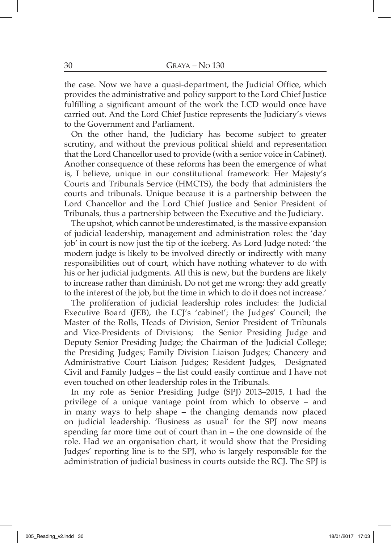the case. Now we have a quasi-department, the Judicial Office, which provides the administrative and policy support to the Lord Chief Justice fulfilling a significant amount of the work the LCD would once have carried out. And the Lord Chief Justice represents the Judiciary's views to the Government and Parliament.

On the other hand, the Judiciary has become subject to greater scrutiny, and without the previous political shield and representation that the Lord Chancellor used to provide (with a senior voice in Cabinet). Another consequence of these reforms has been the emergence of what is, I believe, unique in our constitutional framework: Her Majesty's Courts and Tribunals Service (HMCTS), the body that administers the courts and tribunals. Unique because it is a partnership between the Lord Chancellor and the Lord Chief Justice and Senior President of Tribunals, thus a partnership between the Executive and the Judiciary.

The upshot, which cannot be underestimated, is the massive expansion of judicial leadership, management and administration roles: the 'day job' in court is now just the tip of the iceberg. As Lord Judge noted: 'the modern judge is likely to be involved directly or indirectly with many responsibilities out of court, which have nothing whatever to do with his or her judicial judgments. All this is new, but the burdens are likely to increase rather than diminish. Do not get me wrong: they add greatly to the interest of the job, but the time in which to do it does not increase.'

The proliferation of judicial leadership roles includes: the Judicial Executive Board (JEB), the LCJ's 'cabinet'; the Judges' Council; the Master of the Rolls, Heads of Division, Senior President of Tribunals and Vice-Presidents of Divisions; the Senior Presiding Judge and Deputy Senior Presiding Judge; the Chairman of the Judicial College; the Presiding Judges; Family Division Liaison Judges; Chancery and Administrative Court Liaison Judges; Resident Judges, Designated Civil and Family Judges – the list could easily continue and I have not even touched on other leadership roles in the Tribunals.

In my role as Senior Presiding Judge (SPJ) 2013–2015, I had the privilege of a unique vantage point from which to observe – and in many ways to help shape – the changing demands now placed on judicial leadership. 'Business as usual' for the SPJ now means spending far more time out of court than in – the one downside of the role. Had we an organisation chart, it would show that the Presiding Judges' reporting line is to the SPJ, who is largely responsible for the administration of judicial business in courts outside the RCJ. The SPJ is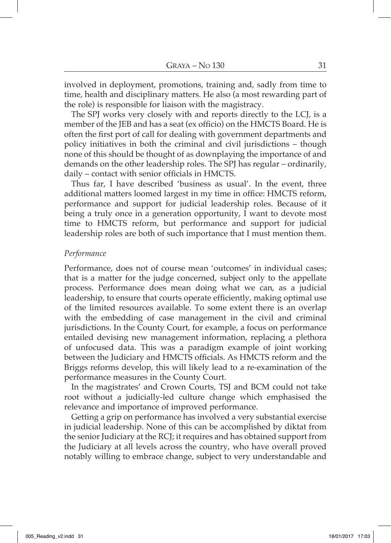involved in deployment, promotions, training and, sadly from time to time, health and disciplinary matters. He also (a most rewarding part of the role) is responsible for liaison with the magistracy.

The SPJ works very closely with and reports directly to the LCJ, is a member of the JEB and has a seat (ex officio) on the HMCTS Board. He is often the first port of call for dealing with government departments and policy initiatives in both the criminal and civil jurisdictions – though none of this should be thought of as downplaying the importance of and demands on the other leadership roles. The SPJ has regular – ordinarily, daily – contact with senior officials in HMCTS.

Thus far, I have described 'business as usual'. In the event, three additional matters loomed largest in my time in office: HMCTS reform, performance and support for judicial leadership roles. Because of it being a truly once in a generation opportunity, I want to devote most time to HMCTS reform, but performance and support for judicial leadership roles are both of such importance that I must mention them.

#### *Performance*

Performance, does not of course mean 'outcomes' in individual cases; that is a matter for the judge concerned, subject only to the appellate process. Performance does mean doing what we can, as a judicial leadership, to ensure that courts operate efficiently, making optimal use of the limited resources available. To some extent there is an overlap with the embedding of case management in the civil and criminal jurisdictions. In the County Court, for example, a focus on performance entailed devising new management information, replacing a plethora of unfocused data. This was a paradigm example of joint working between the Judiciary and HMCTS officials. As HMCTS reform and the Briggs reforms develop, this will likely lead to a re-examination of the performance measures in the County Court.

In the magistrates' and Crown Courts, TSJ and BCM could not take root without a judicially-led culture change which emphasised the relevance and importance of improved performance.

Getting a grip on performance has involved a very substantial exercise in judicial leadership. None of this can be accomplished by diktat from the senior Judiciary at the RCJ; it requires and has obtained support from the Judiciary at all levels across the country, who have overall proved notably willing to embrace change, subject to very understandable and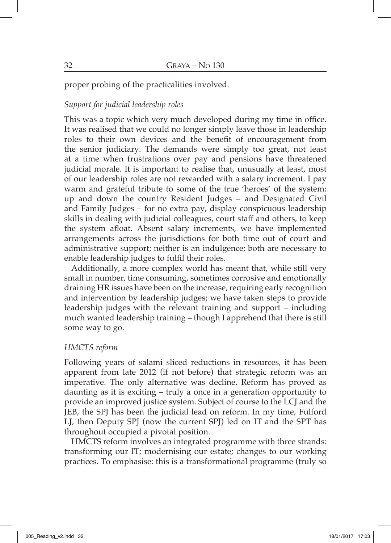proper probing of the practicalities involved.

# *Support for judicial leadership roles*

This was a topic which very much developed during my time in office. It was realised that we could no longer simply leave those in leadership roles to their own devices and the benefit of encouragement from the senior judiciary. The demands were simply too great, not least at a time when frustrations over pay and pensions have threatened judicial morale. It is important to realise that, unusually at least, most of our leadership roles are not rewarded with a salary increment. I pay warm and grateful tribute to some of the true 'heroes' of the system: up and down the country Resident Judges – and Designated Civil and Family Judges – for no extra pay, display conspicuous leadership skills in dealing with judicial colleagues, court staff and others, to keep the system afloat. Absent salary increments, we have implemented arrangements across the jurisdictions for both time out of court and administrative support; neither is an indulgence; both are necessary to enable leadership judges to fulfil their roles.

Additionally, a more complex world has meant that, while still very small in number, time consuming, sometimes corrosive and emotionally draining HR issues have been on the increase, requiring early recognition and intervention by leadership judges; we have taken steps to provide leadership judges with the relevant training and support – including much wanted leadership training – though I apprehend that there is still some way to go.

# *HMCTS reform*

Following years of salami sliced reductions in resources, it has been apparent from late 2012 (if not before) that strategic reform was an imperative. The only alternative was decline. Reform has proved as daunting as it is exciting – truly a once in a generation opportunity to provide an improved justice system. Subject of course to the LCJ and the JEB, the SPJ has been the judicial lead on reform. In my time, Fulford LJ, then Deputy SPJ (now the current SPJ) led on IT and the SPT has throughout occupied a pivotal position.

HMCTS reform involves an integrated programme with three strands: transforming our IT; modernising our estate; changes to our working practices. To emphasise: this is a transformational programme (truly so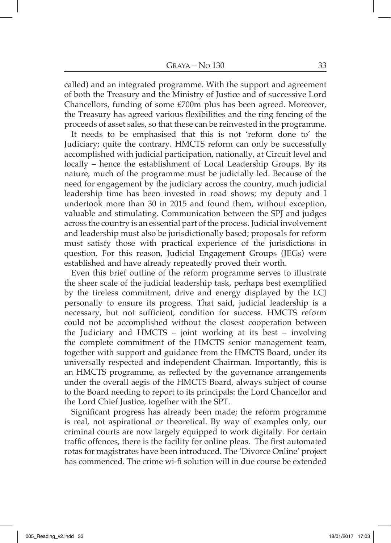called) and an integrated programme. With the support and agreement of both the Treasury and the Ministry of Justice and of successive Lord Chancellors, funding of some £700m plus has been agreed. Moreover, the Treasury has agreed various flexibilities and the ring fencing of the proceeds of asset sales, so that these can be reinvested in the programme.

It needs to be emphasised that this is not 'reform done to' the Judiciary; quite the contrary. HMCTS reform can only be successfully accomplished with judicial participation, nationally, at Circuit level and locally – hence the establishment of Local Leadership Groups. By its nature, much of the programme must be judicially led. Because of the need for engagement by the judiciary across the country, much judicial leadership time has been invested in road shows; my deputy and I undertook more than 30 in 2015 and found them, without exception, valuable and stimulating. Communication between the SPJ and judges across the country is an essential part of the process. Judicial involvement and leadership must also be jurisdictionally based; proposals for reform must satisfy those with practical experience of the jurisdictions in question. For this reason, Judicial Engagement Groups (JEGs) were established and have already repeatedly proved their worth.

Even this brief outline of the reform programme serves to illustrate the sheer scale of the judicial leadership task, perhaps best exemplified by the tireless commitment, drive and energy displayed by the LCJ personally to ensure its progress. That said, judicial leadership is a necessary, but not sufficient, condition for success. HMCTS reform could not be accomplished without the closest cooperation between the Judiciary and HMCTS – joint working at its best – involving the complete commitment of the HMCTS senior management team, together with support and guidance from the HMCTS Board, under its universally respected and independent Chairman. Importantly, this is an HMCTS programme, as reflected by the governance arrangements under the overall aegis of the HMCTS Board, always subject of course to the Board needing to report to its principals: the Lord Chancellor and the Lord Chief Justice, together with the SPT.

Significant progress has already been made; the reform programme is real, not aspirational or theoretical. By way of examples only, our criminal courts are now largely equipped to work digitally. For certain traffic offences, there is the facility for online pleas. The first automated rotas for magistrates have been introduced. The 'Divorce Online' project has commenced. The crime wi-fi solution will in due course be extended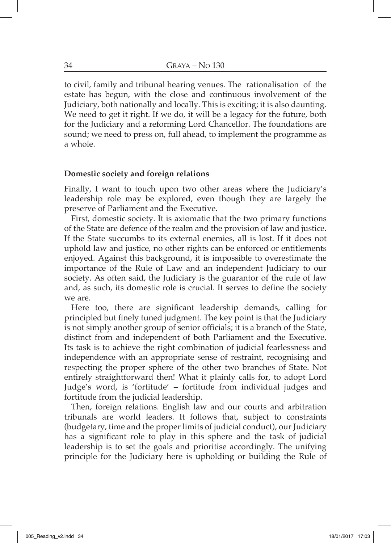to civil, family and tribunal hearing venues. The rationalisation of the estate has begun, with the close and continuous involvement of the Judiciary, both nationally and locally. This is exciting; it is also daunting. We need to get it right. If we do, it will be a legacy for the future, both for the Judiciary and a reforming Lord Chancellor. The foundations are sound; we need to press on, full ahead, to implement the programme as a whole.

#### **Domestic society and foreign relations**

Finally, I want to touch upon two other areas where the Judiciary's leadership role may be explored, even though they are largely the preserve of Parliament and the Executive.

First, domestic society. It is axiomatic that the two primary functions of the State are defence of the realm and the provision of law and justice. If the State succumbs to its external enemies, all is lost. If it does not uphold law and justice, no other rights can be enforced or entitlements enjoyed. Against this background, it is impossible to overestimate the importance of the Rule of Law and an independent Judiciary to our society. As often said, the Judiciary is the guarantor of the rule of law and, as such, its domestic role is crucial. It serves to define the society we are.

Here too, there are significant leadership demands, calling for principled but finely tuned judgment. The key point is that the Judiciary is not simply another group of senior officials; it is a branch of the State, distinct from and independent of both Parliament and the Executive. Its task is to achieve the right combination of judicial fearlessness and independence with an appropriate sense of restraint, recognising and respecting the proper sphere of the other two branches of State. Not entirely straightforward then! What it plainly calls for, to adopt Lord Judge's word, is 'fortitude' – fortitude from individual judges and fortitude from the judicial leadership.

Then, foreign relations. English law and our courts and arbitration tribunals are world leaders. It follows that, subject to constraints (budgetary, time and the proper limits of judicial conduct), our Judiciary has a significant role to play in this sphere and the task of judicial leadership is to set the goals and prioritise accordingly. The unifying principle for the Judiciary here is upholding or building the Rule of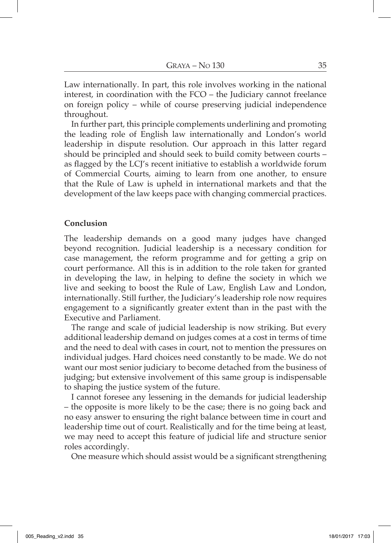Law internationally. In part, this role involves working in the national interest, in coordination with the FCO – the Judiciary cannot freelance on foreign policy – while of course preserving judicial independence throughout.

In further part, this principle complements underlining and promoting the leading role of English law internationally and London's world leadership in dispute resolution. Our approach in this latter regard should be principled and should seek to build comity between courts – as flagged by the LCJ's recent initiative to establish a worldwide forum of Commercial Courts, aiming to learn from one another, to ensure that the Rule of Law is upheld in international markets and that the development of the law keeps pace with changing commercial practices.

# **Conclusion**

The leadership demands on a good many judges have changed beyond recognition. Judicial leadership is a necessary condition for case management, the reform programme and for getting a grip on court performance. All this is in addition to the role taken for granted in developing the law, in helping to define the society in which we live and seeking to boost the Rule of Law, English Law and London, internationally. Still further, the Judiciary's leadership role now requires engagement to a significantly greater extent than in the past with the Executive and Parliament.

The range and scale of judicial leadership is now striking. But every additional leadership demand on judges comes at a cost in terms of time and the need to deal with cases in court, not to mention the pressures on individual judges. Hard choices need constantly to be made. We do not want our most senior judiciary to become detached from the business of judging; but extensive involvement of this same group is indispensable to shaping the justice system of the future.

I cannot foresee any lessening in the demands for judicial leadership – the opposite is more likely to be the case; there is no going back and no easy answer to ensuring the right balance between time in court and leadership time out of court. Realistically and for the time being at least, we may need to accept this feature of judicial life and structure senior roles accordingly.

One measure which should assist would be a significant strengthening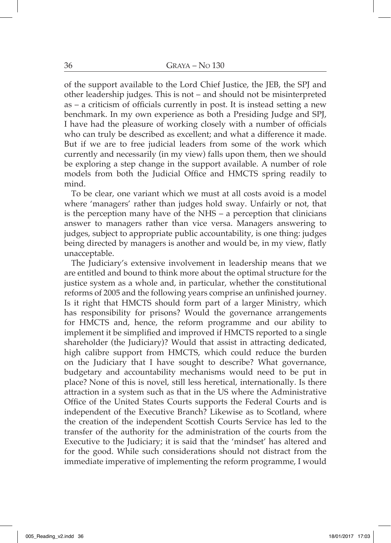of the support available to the Lord Chief Justice, the JEB, the SPJ and other leadership judges. This is not – and should not be misinterpreted as – a criticism of officials currently in post. It is instead setting a new benchmark. In my own experience as both a Presiding Judge and SPJ, I have had the pleasure of working closely with a number of officials who can truly be described as excellent; and what a difference it made. But if we are to free judicial leaders from some of the work which currently and necessarily (in my view) falls upon them, then we should be exploring a step change in the support available. A number of role models from both the Judicial Office and HMCTS spring readily to mind.

To be clear, one variant which we must at all costs avoid is a model where 'managers' rather than judges hold sway. Unfairly or not, that is the perception many have of the NHS – a perception that clinicians answer to managers rather than vice versa. Managers answering to judges, subject to appropriate public accountability, is one thing: judges being directed by managers is another and would be, in my view, flatly unacceptable.

The Judiciary's extensive involvement in leadership means that we are entitled and bound to think more about the optimal structure for the justice system as a whole and, in particular, whether the constitutional reforms of 2005 and the following years comprise an unfinished journey. Is it right that HMCTS should form part of a larger Ministry, which has responsibility for prisons? Would the governance arrangements for HMCTS and, hence, the reform programme and our ability to implement it be simplified and improved if HMCTS reported to a single shareholder (the Judiciary)? Would that assist in attracting dedicated, high calibre support from HMCTS, which could reduce the burden on the Judiciary that I have sought to describe? What governance, budgetary and accountability mechanisms would need to be put in place? None of this is novel, still less heretical, internationally. Is there attraction in a system such as that in the US where the Administrative Office of the United States Courts supports the Federal Courts and is independent of the Executive Branch? Likewise as to Scotland, where the creation of the independent Scottish Courts Service has led to the transfer of the authority for the administration of the courts from the Executive to the Judiciary; it is said that the 'mindset' has altered and for the good. While such considerations should not distract from the immediate imperative of implementing the reform programme, I would